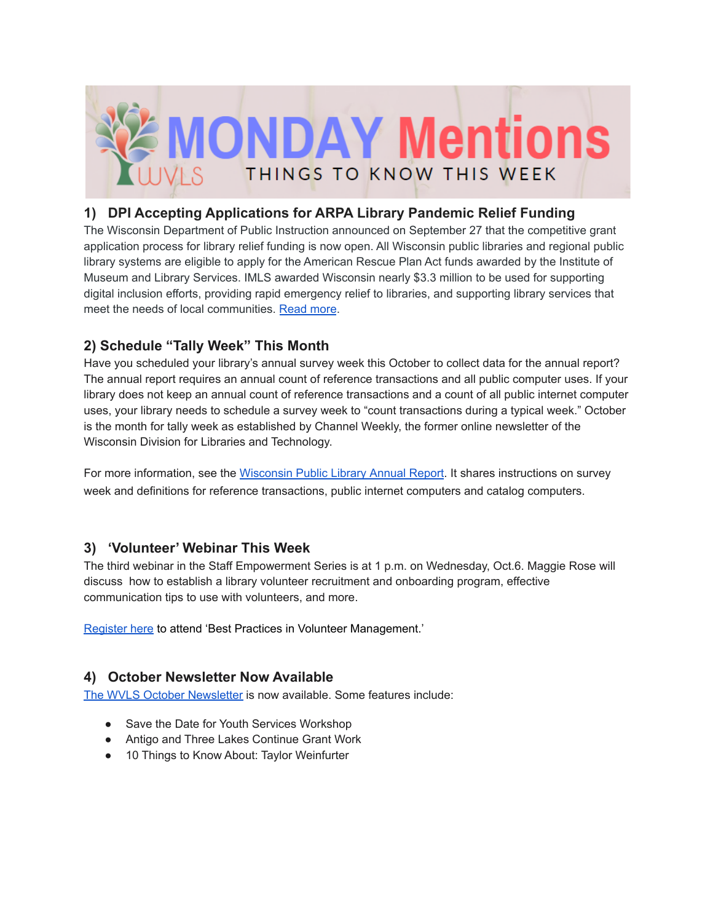

## **1) DPI Accepting Applications for ARPA Library Pandemic Relief Funding**

The Wisconsin Department of Public Instruction announced on September 27 that the competitive grant application process for library relief funding is now open. All Wisconsin public libraries and regional public library systems are eligible to apply for the American Rescue Plan Act funds awarded by the Institute of Museum and Library Services. IMLS awarded Wisconsin nearly \$3.3 million to be used for supporting digital inclusion efforts, providing rapid emergency relief to libraries, and supporting library services that meet the needs of local communities. [Read](https://dpi.wi.gov/news/releases/2021/library-pandemic-relief-applications-open-arpa) more.

# **2) Schedule "Tally Week" This Month**

Have you scheduled your library's annual survey week this October to collect data for the annual report? The annual report requires an annual count of reference transactions and all public computer uses. If your library does not keep an annual count of reference transactions and a count of all public internet computer uses, your library needs to schedule a survey week to "count transactions during a typical week." October is the month for tally week as established by Channel Weekly, the former online newsletter of the Wisconsin Division for Libraries and Technology.

For more information, see the [Wisconsin](https://dpi.wi.gov/sites/default/files/imce/pld/pdf/wi_public_library_annual_report_instructions.pdf) Public Library Annual Report. It shares instructions on survey week and definitions for reference transactions, public internet computers and catalog computers.

# **3) 'Volunteer' Webinar This Week**

The third webinar in the Staff Empowerment Series is at 1 p.m. on Wednesday, Oct.6. Maggie Rose will discuss how to establish a library volunteer recruitment and onboarding program, effective communication tips to use with volunteers, and more.

[Register](https://us02web.zoom.us/webinar/register/WN_jEaTEIA8Sd-oAqFmnwK13w) here to attend 'Best Practices in Volunteer Management.'

# **4) October Newsletter Now Available**

The WVLS October [Newsletter](https://mailchi.mp/c841f8828dc4/wvls-october21-newsletter-5223893) is now available. Some features include:

- Save the Date for Youth Services Workshop
- Antigo and Three Lakes Continue Grant Work
- 10 Things to Know About: Taylor Weinfurter